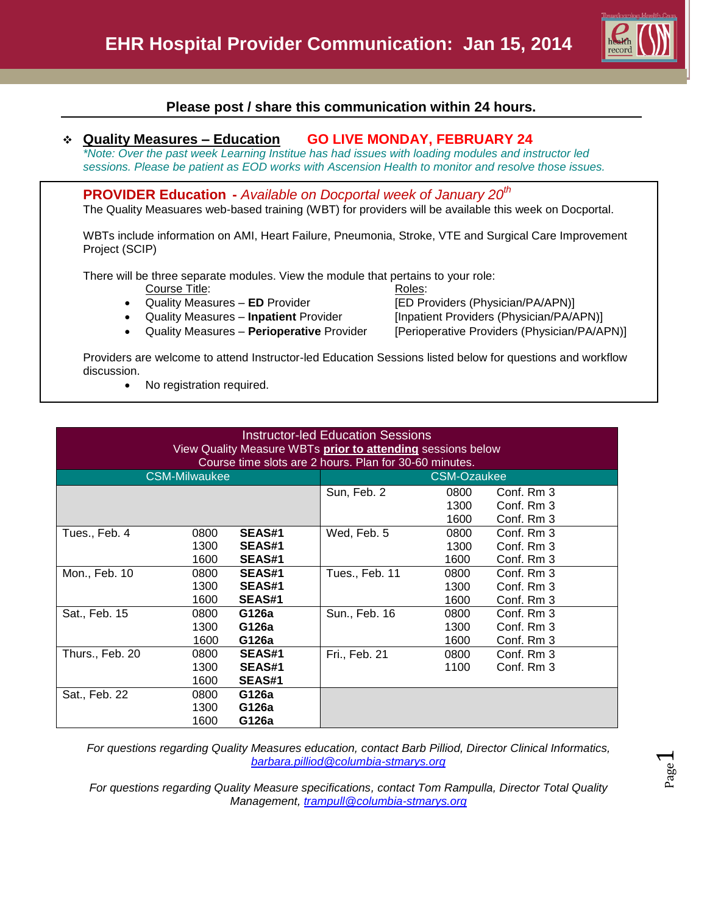

Page  $\overline{\phantom{0}}$ 

## **Please post / share this communication within 24 hours.**

## **Quality Measures – Education GO LIVE MONDAY, FEBRUARY 24**

*\*Note: Over the past week Learning Institue has had issues with loading modules and instructor led sessions. Please be patient as EOD works with Ascension Health to monitor and resolve those issues.*

**PROVIDER Education -** *Available on Docportal week of January 20th*

The Quality Measuares web-based training (WBT) for providers will be available this week on Docportal.

WBTs include information on AMI, Heart Failure, Pneumonia, Stroke, VTE and Surgical Care Improvement Project (SCIP)

There will be three separate modules. View the module that pertains to your role:

Course Title: Roles:

- 
- 
- Quality Measures **Perioperative** Provider [Perioperative Providers (Physician/PA/APN)]

 Quality Measures – **ED** Provider [ED Providers (Physician/PA/APN)] • Quality Measures - **Inpatient** Provider [Inpatient Providers (Physician/PA/APN)]

Providers are welcome to attend Instructor-led Education Sessions listed below for questions and workflow discussion.

• No registration required.

| <b>Instructor-led Education Sessions</b><br>View Quality Measure WBTs prior to attending sessions below<br>Course time slots are 2 hours. Plan for 30-60 minutes. |      |               |                    |      |            |  |  |  |
|-------------------------------------------------------------------------------------------------------------------------------------------------------------------|------|---------------|--------------------|------|------------|--|--|--|
| <b>CSM-Milwaukee</b>                                                                                                                                              |      |               | <b>CSM-Ozaukee</b> |      |            |  |  |  |
|                                                                                                                                                                   |      |               | Sun, Feb. 2        | 0800 | Conf. Rm 3 |  |  |  |
|                                                                                                                                                                   |      |               |                    | 1300 | Conf. Rm 3 |  |  |  |
|                                                                                                                                                                   |      |               |                    | 1600 | Conf. Rm 3 |  |  |  |
| Tues., Feb. 4                                                                                                                                                     | 0800 | <b>SEAS#1</b> | Wed, Feb. 5        | 0800 | Conf. Rm 3 |  |  |  |
|                                                                                                                                                                   | 1300 | <b>SEAS#1</b> |                    | 1300 | Conf. Rm 3 |  |  |  |
|                                                                                                                                                                   | 1600 | <b>SEAS#1</b> |                    | 1600 | Conf. Rm 3 |  |  |  |
| Mon., Feb. 10                                                                                                                                                     | 0800 | <b>SEAS#1</b> | Tues., Feb. 11     | 0800 | Conf. Rm 3 |  |  |  |
|                                                                                                                                                                   | 1300 | <b>SEAS#1</b> |                    | 1300 | Conf. Rm 3 |  |  |  |
|                                                                                                                                                                   | 1600 | <b>SEAS#1</b> |                    | 1600 | Conf. Rm 3 |  |  |  |
| Sat., Feb. 15                                                                                                                                                     | 0800 | G126a         | Sun., Feb. 16      | 0800 | Conf. Rm 3 |  |  |  |
|                                                                                                                                                                   | 1300 | G126a         |                    | 1300 | Conf. Rm 3 |  |  |  |
|                                                                                                                                                                   | 1600 | G126a         |                    | 1600 | Conf. Rm 3 |  |  |  |
| Thurs., Feb. 20                                                                                                                                                   | 0800 | SEAS#1        | Fri., Feb. 21      | 0800 | Conf. Rm 3 |  |  |  |
|                                                                                                                                                                   | 1300 | <b>SEAS#1</b> |                    | 1100 | Conf. Rm 3 |  |  |  |
|                                                                                                                                                                   | 1600 | <b>SEAS#1</b> |                    |      |            |  |  |  |
| Sat., Feb. 22                                                                                                                                                     | 0800 | G126a         |                    |      |            |  |  |  |
|                                                                                                                                                                   | 1300 | G126a         |                    |      |            |  |  |  |
|                                                                                                                                                                   | 1600 | G126a         |                    |      |            |  |  |  |

*For questions regarding Quality Measures education, contact Barb Pilliod, Director Clinical Informatics, [barbara.pilliod@columbia-stmarys.org](mailto:barbara.pilliod@columbia-stmarys.org)*

*For questions regarding Quality Measure specifications, contact Tom Rampulla, Director Total Quality Management, [trampull@columbia-stmarys.org](mailto:trampull@columbia-stmarys.org)*